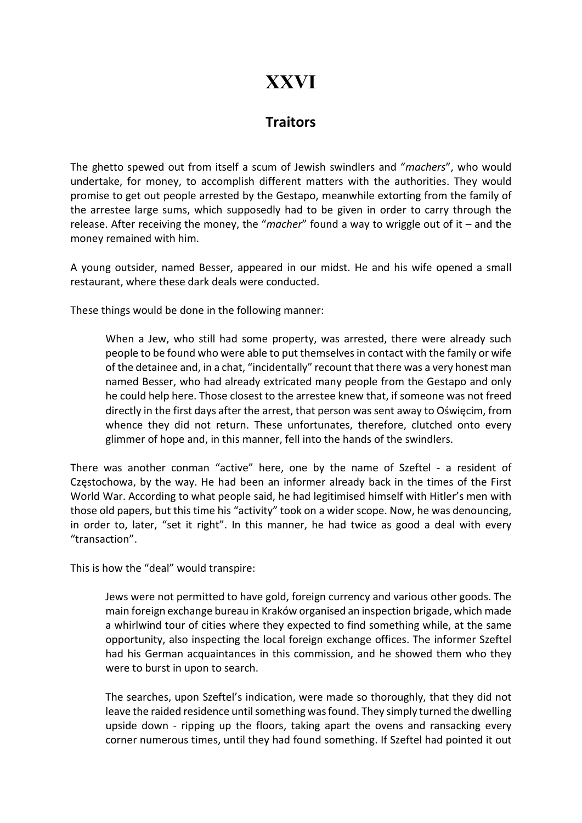## XXVI

## **Traitors**

The ghetto spewed out from itself a scum of Jewish swindlers and "machers", who would undertake, for money, to accomplish different matters with the authorities. They would promise to get out people arrested by the Gestapo, meanwhile extorting from the family of the arrestee large sums, which supposedly had to be given in order to carry through the release. After receiving the money, the "macher" found a way to wriggle out of it – and the money remained with him.

A young outsider, named Besser, appeared in our midst. He and his wife opened a small restaurant, where these dark deals were conducted.

These things would be done in the following manner:

When a Jew, who still had some property, was arrested, there were already such people to be found who were able to put themselves in contact with the family or wife of the detainee and, in a chat, "incidentally" recount that there was a very honest man named Besser, who had already extricated many people from the Gestapo and only he could help here. Those closest to the arrestee knew that, if someone was not freed directly in the first days after the arrest, that person was sent away to Oświęcim, from whence they did not return. These unfortunates, therefore, clutched onto every glimmer of hope and, in this manner, fell into the hands of the swindlers.

There was another conman "active" here, one by the name of Szeftel - a resident of Częstochowa, by the way. He had been an informer already back in the times of the First World War. According to what people said, he had legitimised himself with Hitler's men with those old papers, but this time his "activity" took on a wider scope. Now, he was denouncing, in order to, later, "set it right". In this manner, he had twice as good a deal with every "transaction".

This is how the "deal" would transpire:

Jews were not permitted to have gold, foreign currency and various other goods. The main foreign exchange bureau in Kraków organised an inspection brigade, which made a whirlwind tour of cities where they expected to find something while, at the same opportunity, also inspecting the local foreign exchange offices. The informer Szeftel had his German acquaintances in this commission, and he showed them who they were to burst in upon to search.

The searches, upon Szeftel's indication, were made so thoroughly, that they did not leave the raided residence until something was found. They simply turned the dwelling upside down - ripping up the floors, taking apart the ovens and ransacking every corner numerous times, until they had found something. If Szeftel had pointed it out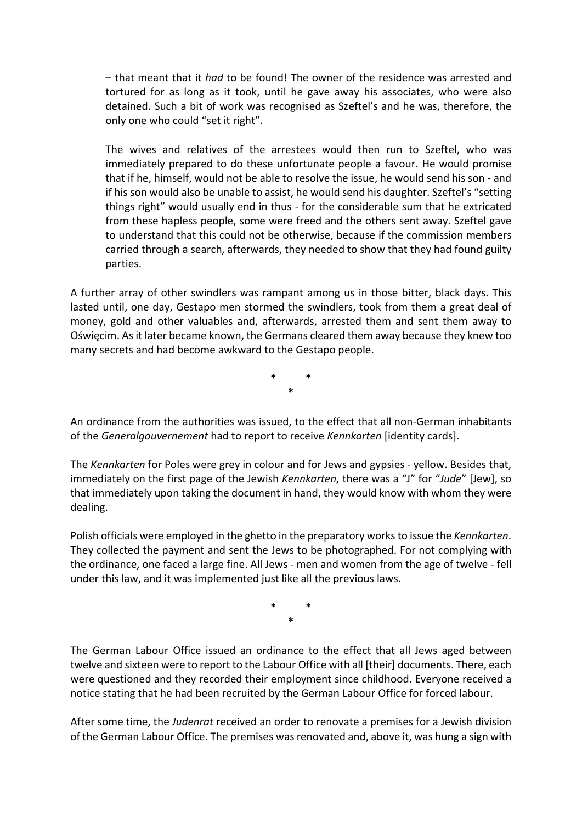– that meant that it had to be found! The owner of the residence was arrested and tortured for as long as it took, until he gave away his associates, who were also detained. Such a bit of work was recognised as Szeftel's and he was, therefore, the only one who could "set it right".

The wives and relatives of the arrestees would then run to Szeftel, who was immediately prepared to do these unfortunate people a favour. He would promise that if he, himself, would not be able to resolve the issue, he would send his son - and if his son would also be unable to assist, he would send his daughter. Szeftel's "setting things right" would usually end in thus - for the considerable sum that he extricated from these hapless people, some were freed and the others sent away. Szeftel gave to understand that this could not be otherwise, because if the commission members carried through a search, afterwards, they needed to show that they had found guilty parties.

A further array of other swindlers was rampant among us in those bitter, black days. This lasted until, one day, Gestapo men stormed the swindlers, took from them a great deal of money, gold and other valuables and, afterwards, arrested them and sent them away to Oświęcim. As it later became known, the Germans cleared them away because they knew too many secrets and had become awkward to the Gestapo people.

> \* \* \*

An ordinance from the authorities was issued, to the effect that all non-German inhabitants of the Generalgouvernement had to report to receive Kennkarten [identity cards].

The Kennkarten for Poles were grey in colour and for Jews and gypsies - yellow. Besides that, immediately on the first page of the Jewish Kennkarten, there was a "J" for "Jude" [Jew], so that immediately upon taking the document in hand, they would know with whom they were dealing.

Polish officials were employed in the ghetto in the preparatory works to issue the Kennkarten. They collected the payment and sent the Jews to be photographed. For not complying with the ordinance, one faced a large fine. All Jews - men and women from the age of twelve - fell under this law, and it was implemented just like all the previous laws.

> \* \* \*

The German Labour Office issued an ordinance to the effect that all Jews aged between twelve and sixteen were to report to the Labour Office with all [their] documents. There, each were questioned and they recorded their employment since childhood. Everyone received a notice stating that he had been recruited by the German Labour Office for forced labour.

After some time, the Judenrat received an order to renovate a premises for a Jewish division of the German Labour Office. The premises was renovated and, above it, was hung a sign with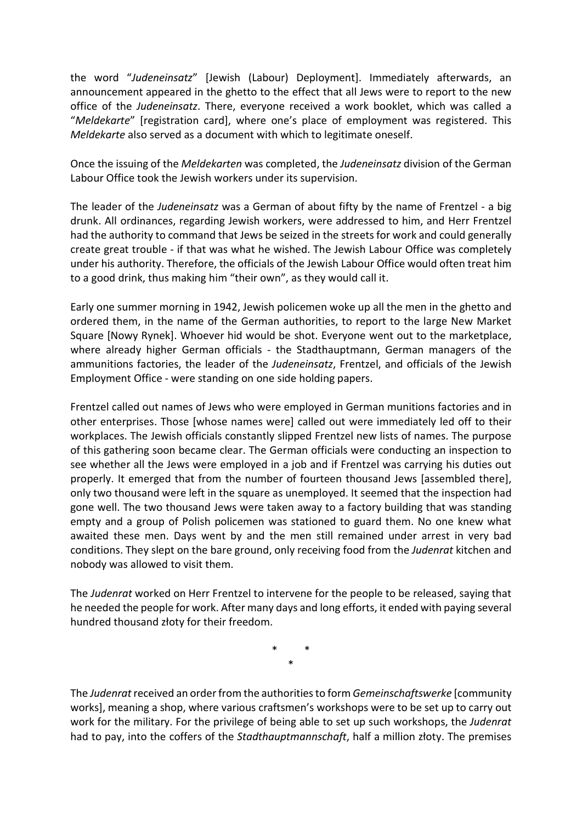the word "Judeneinsatz" [Jewish (Labour) Deployment]. Immediately afterwards, an announcement appeared in the ghetto to the effect that all Jews were to report to the new office of the Judeneinsatz. There, everyone received a work booklet, which was called a "Meldekarte" [registration card], where one's place of employment was registered. This Meldekarte also served as a document with which to legitimate oneself.

Once the issuing of the Meldekarten was completed, the Judeneinsatz division of the German Labour Office took the Jewish workers under its supervision.

The leader of the Judeneinsatz was a German of about fifty by the name of Frentzel - a big drunk. All ordinances, regarding Jewish workers, were addressed to him, and Herr Frentzel had the authority to command that Jews be seized in the streets for work and could generally create great trouble - if that was what he wished. The Jewish Labour Office was completely under his authority. Therefore, the officials of the Jewish Labour Office would often treat him to a good drink, thus making him "their own", as they would call it.

Early one summer morning in 1942, Jewish policemen woke up all the men in the ghetto and ordered them, in the name of the German authorities, to report to the large New Market Square [Nowy Rynek]. Whoever hid would be shot. Everyone went out to the marketplace, where already higher German officials - the Stadthauptmann, German managers of the ammunitions factories, the leader of the Judeneinsatz, Frentzel, and officials of the Jewish Employment Office - were standing on one side holding papers.

Frentzel called out names of Jews who were employed in German munitions factories and in other enterprises. Those [whose names were] called out were immediately led off to their workplaces. The Jewish officials constantly slipped Frentzel new lists of names. The purpose of this gathering soon became clear. The German officials were conducting an inspection to see whether all the Jews were employed in a job and if Frentzel was carrying his duties out properly. It emerged that from the number of fourteen thousand Jews [assembled there], only two thousand were left in the square as unemployed. It seemed that the inspection had gone well. The two thousand Jews were taken away to a factory building that was standing empty and a group of Polish policemen was stationed to guard them. No one knew what awaited these men. Days went by and the men still remained under arrest in very bad conditions. They slept on the bare ground, only receiving food from the Judenrat kitchen and nobody was allowed to visit them.

The Judenrat worked on Herr Frentzel to intervene for the people to be released, saying that he needed the people for work. After many days and long efforts, it ended with paying several hundred thousand złoty for their freedom.

> \* \* \*

The Judenrat received an order from the authorities to form Gemeinschaftswerke [community works], meaning a shop, where various craftsmen's workshops were to be set up to carry out work for the military. For the privilege of being able to set up such workshops, the Judenrat had to pay, into the coffers of the *Stadthauptmannschaft*, half a million złoty. The premises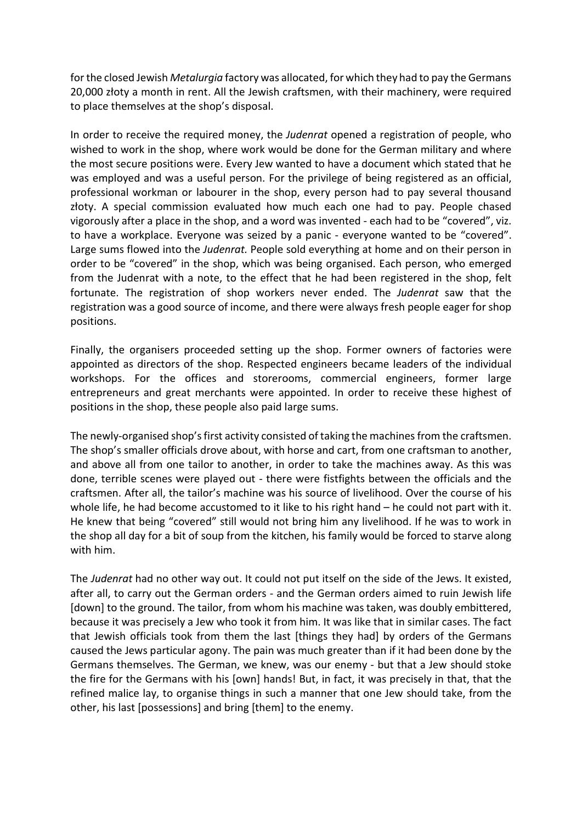for the closed Jewish *Metalurgia* factory was allocated, for which they had to pay the Germans 20,000 złoty a month in rent. All the Jewish craftsmen, with their machinery, were required to place themselves at the shop's disposal.

In order to receive the required money, the Judenrat opened a registration of people, who wished to work in the shop, where work would be done for the German military and where the most secure positions were. Every Jew wanted to have a document which stated that he was employed and was a useful person. For the privilege of being registered as an official, professional workman or labourer in the shop, every person had to pay several thousand złoty. A special commission evaluated how much each one had to pay. People chased vigorously after a place in the shop, and a word was invented - each had to be "covered", viz. to have a workplace. Everyone was seized by a panic - everyone wanted to be "covered". Large sums flowed into the *Judenrat*. People sold everything at home and on their person in order to be "covered" in the shop, which was being organised. Each person, who emerged from the Judenrat with a note, to the effect that he had been registered in the shop, felt fortunate. The registration of shop workers never ended. The Judenrat saw that the registration was a good source of income, and there were always fresh people eager for shop positions.

Finally, the organisers proceeded setting up the shop. Former owners of factories were appointed as directors of the shop. Respected engineers became leaders of the individual workshops. For the offices and storerooms, commercial engineers, former large entrepreneurs and great merchants were appointed. In order to receive these highest of positions in the shop, these people also paid large sums.

The newly-organised shop's first activity consisted of taking the machines from the craftsmen. The shop's smaller officials drove about, with horse and cart, from one craftsman to another, and above all from one tailor to another, in order to take the machines away. As this was done, terrible scenes were played out - there were fistfights between the officials and the craftsmen. After all, the tailor's machine was his source of livelihood. Over the course of his whole life, he had become accustomed to it like to his right hand – he could not part with it. He knew that being "covered" still would not bring him any livelihood. If he was to work in the shop all day for a bit of soup from the kitchen, his family would be forced to starve along with him.

The Judenrat had no other way out. It could not put itself on the side of the Jews. It existed, after all, to carry out the German orders - and the German orders aimed to ruin Jewish life [down] to the ground. The tailor, from whom his machine was taken, was doubly embittered, because it was precisely a Jew who took it from him. It was like that in similar cases. The fact that Jewish officials took from them the last [things they had] by orders of the Germans caused the Jews particular agony. The pain was much greater than if it had been done by the Germans themselves. The German, we knew, was our enemy - but that a Jew should stoke the fire for the Germans with his [own] hands! But, in fact, it was precisely in that, that the refined malice lay, to organise things in such a manner that one Jew should take, from the other, his last [possessions] and bring [them] to the enemy.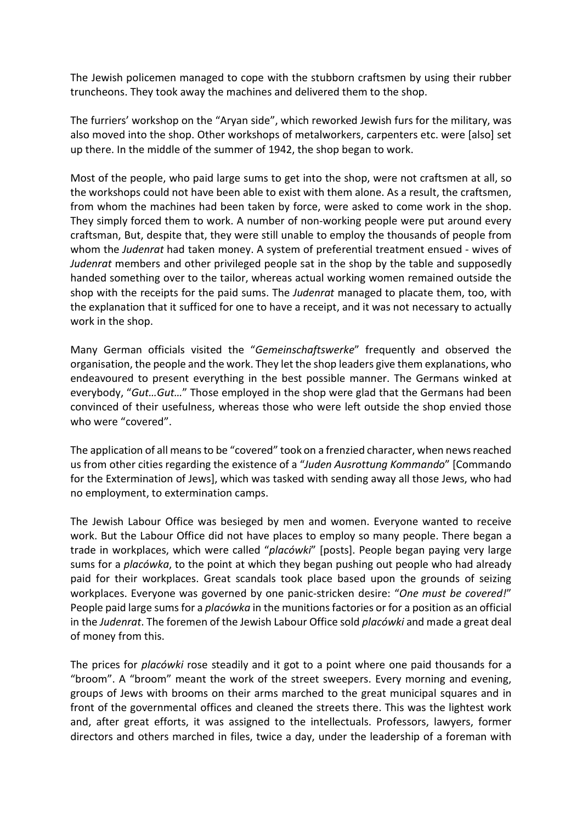The Jewish policemen managed to cope with the stubborn craftsmen by using their rubber truncheons. They took away the machines and delivered them to the shop.

The furriers' workshop on the "Aryan side", which reworked Jewish furs for the military, was also moved into the shop. Other workshops of metalworkers, carpenters etc. were [also] set up there. In the middle of the summer of 1942, the shop began to work.

Most of the people, who paid large sums to get into the shop, were not craftsmen at all, so the workshops could not have been able to exist with them alone. As a result, the craftsmen, from whom the machines had been taken by force, were asked to come work in the shop. They simply forced them to work. A number of non-working people were put around every craftsman, But, despite that, they were still unable to employ the thousands of people from whom the Judenrat had taken money. A system of preferential treatment ensued - wives of Judenrat members and other privileged people sat in the shop by the table and supposedly handed something over to the tailor, whereas actual working women remained outside the shop with the receipts for the paid sums. The *Judenrat* managed to placate them, too, with the explanation that it sufficed for one to have a receipt, and it was not necessary to actually work in the shop.

Many German officials visited the "Gemeinschaftswerke" frequently and observed the organisation, the people and the work. They let the shop leaders give them explanations, who endeavoured to present everything in the best possible manner. The Germans winked at everybody, "Gut…Gut…" Those employed in the shop were glad that the Germans had been convinced of their usefulness, whereas those who were left outside the shop envied those who were "covered".

The application of all means to be "covered" took on a frenzied character, when news reached us from other cities regarding the existence of a "Juden Ausrottung Kommando" [Commando for the Extermination of Jews], which was tasked with sending away all those Jews, who had no employment, to extermination camps.

The Jewish Labour Office was besieged by men and women. Everyone wanted to receive work. But the Labour Office did not have places to employ so many people. There began a trade in workplaces, which were called "placówki" [posts]. People began paying very large sums for a *placówka*, to the point at which they began pushing out people who had already paid for their workplaces. Great scandals took place based upon the grounds of seizing workplaces. Everyone was governed by one panic-stricken desire: "One must be covered!" People paid large sums for a *placówka* in the munitions factories or for a position as an official in the Judenrat. The foremen of the Jewish Labour Office sold placówki and made a great deal of money from this.

The prices for *placówki* rose steadily and it got to a point where one paid thousands for a "broom". A "broom" meant the work of the street sweepers. Every morning and evening, groups of Jews with brooms on their arms marched to the great municipal squares and in front of the governmental offices and cleaned the streets there. This was the lightest work and, after great efforts, it was assigned to the intellectuals. Professors, lawyers, former directors and others marched in files, twice a day, under the leadership of a foreman with